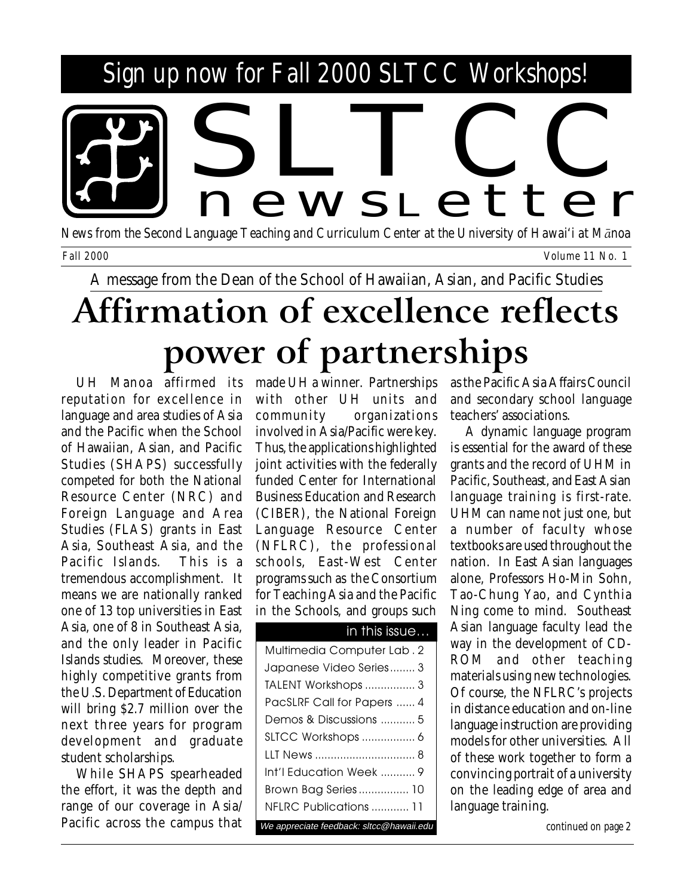# Sign up now for Fall 2000 SLTCC Workshops! news <sup>L</sup> etter

*News from the Second Language Teaching and Curriculum Center at the University of Hawai'i at MÅnoa Fall 2000 Volume 11 No. 1*

A message from the Dean of the School of Hawaiian, Asian, and Pacific Studies

# **Affirmation of excellence reflects power of partnerships**

UH Manoa affirmed its reputation for excellence in language and area studies of Asia and the Pacific when the School of Hawaiian, Asian, and Pacific Studies (SHAPS) successfully competed for both the National Resource Center (NRC) and Foreign Language and Area Studies (FLAS) grants in East Asia, Southeast Asia, and the Pacific Islands. This is a tremendous accomplishment. It means we are nationally ranked one of 13 top universities in East Asia, one of 8 in Southeast Asia, and the only leader in Pacific Islands studies. Moreover, these highly competitive grants from the U.S. Department of Education will bring \$2.7 million over the next three years for program development and graduate student scholarships.

While SHAPS spearheaded the effort, it was the depth and range of our coverage in Asia/ Pacific across the campus that made UH a winner. Partnerships with other UH units and community organizations involved in Asia/Pacific were key. Thus, the applications highlighted joint activities with the federally funded Center for International Business Education and Research (CIBER), the National Foreign Language Resource Center (NFLRC), the professional schools, East-West Center programs such as the Consortium for Teaching Asia and the Pacific in the Schools, and groups such

### in this issue…

| Multimedia Computer Lab. 2               |
|------------------------------------------|
| Japanese Video Series 3                  |
| TALENT Workshops  3                      |
| PacSLRF Call for Papers  4               |
| Demos & Discussions  5                   |
| SLTCC Workshops  6                       |
|                                          |
| Int'l Education Week  9                  |
| Brown Bag Series 10                      |
| NFLRC Publications  11                   |
| We appreciate feedback: sltcc@hawaii.edu |

as the Pacific Asia Affairs Council and secondary school language teachers' associations.

A dynamic language program is essential for the award of these grants and the record of UHM in Pacific, Southeast, and East Asian language training is first-rate. UHM can name not just one, but a number of faculty whose textbooks are used throughout the nation. In East Asian languages alone, Professors Ho-Min Sohn, Tao-Chung Yao, and Cynthia Ning come to mind. Southeast Asian language faculty lead the way in the development of CD-ROM and other teaching materials using new technologies. Of course, the NFLRC's projects in distance education and on-line language instruction are providing models for other universities. All of these work together to form a convincing portrait of a university on the leading edge of area and language training.

*continued on page 2*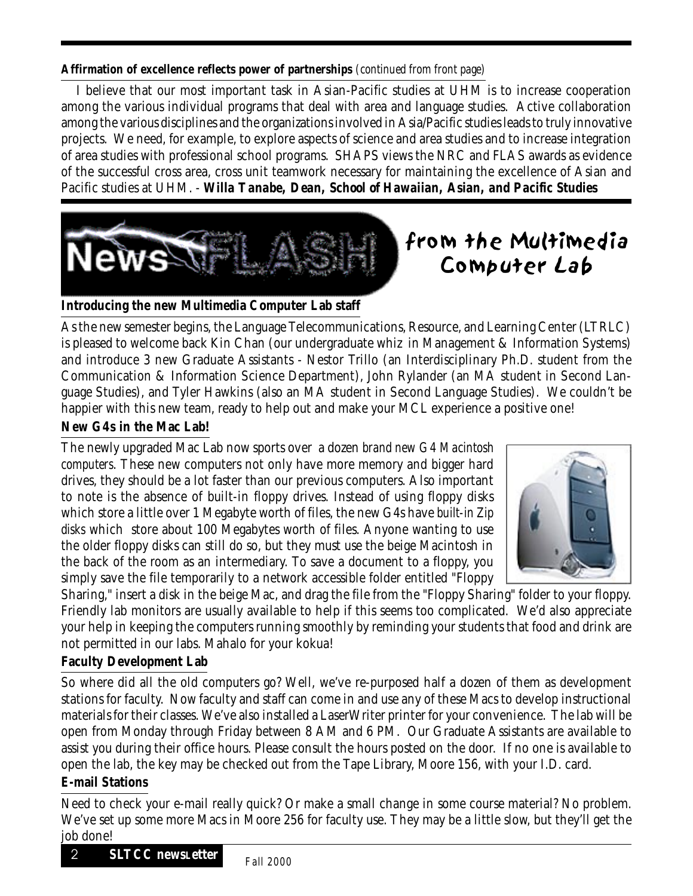### **Affirmation of excellence reflects power of partnerships** *(continued from front page)*

I believe that our most important task in Asian-Pacific studies at UHM is to increase cooperation among the various individual programs that deal with area and language studies. Active collaboration among the various disciplines and the organizations involved in Asia/Pacific studies leads to truly innovative projects. We need, for example, to explore aspects of science and area studies and to increase integration of area studies with professional school programs. SHAPS views the NRC and FLAS awards as evidence of the successful cross area, cross unit teamwork necessary for maintaining the excellence of Asian and Pacific studies at UHM. - *Willa Tanabe, Dean, School of Hawaiian, Asian, and Pacific Studies*



## from the Multimedia Computer Lab

**Introducing the new Multimedia Computer Lab staff**

As the new semester begins, the Language Telecommunications, Resource, and Learning Center (LTRLC) is pleased to welcome back Kin Chan (our undergraduate whiz in Management & Information Systems) and introduce 3 new Graduate Assistants - Nestor Trillo (an Interdisciplinary Ph.D. student from the Communication & Information Science Department), John Rylander (an MA student in Second Language Studies), and Tyler Hawkins (also an MA student in Second Language Studies). We couldn't be happier with this new team, ready to help out and make your MCL experience a positive one!

### **New G4s in the Mac Lab!**

The newly upgraded Mac Lab now sports over a dozen *brand new G4 Macintosh computers*. These new computers not only have more memory and bigger hard drives, they should be a lot faster than our previous computers. Also important to note is the absence of built-in floppy drives. Instead of using floppy disks which store a little over 1 Megabyte worth of files, the new G4s have *built-in Zip disks* which store about 100 Megabytes worth of files. Anyone wanting to use the older floppy disks can still do so, but they must use the beige Macintosh in the back of the room as an intermediary. To save a document to a floppy, you simply save the file temporarily to a network accessible folder entitled "Floppy



Sharing," insert a disk in the beige Mac, and drag the file from the "Floppy Sharing" folder to your floppy. Friendly lab monitors are usually available to help if this seems too complicated. We'd also appreciate your help in keeping the computers running smoothly by reminding your students that food and drink are not permitted in our labs. Mahalo for your kokua!

### **Faculty Development Lab**

So where did all the old computers go? Well, we've re-purposed half a dozen of them as development stations for faculty. Now faculty and staff can come in and use any of these Macs to develop instructional materials for their classes. We've also installed a LaserWriter printer for your convenience. The lab will be open from Monday through Friday between 8 AM and 6 PM. Our Graduate Assistants are available to assist you during their office hours. Please consult the hours posted on the door. If no one is available to open the lab, the key may be checked out from the Tape Library, Moore 156, with your I.D. card.

### **E-mail Stations**

Need to check your e-mail really quick? Or make a small change in some course material? No problem. We've set up some more Macs in Moore 256 for faculty use. They may be a little slow, but they'll get the job done!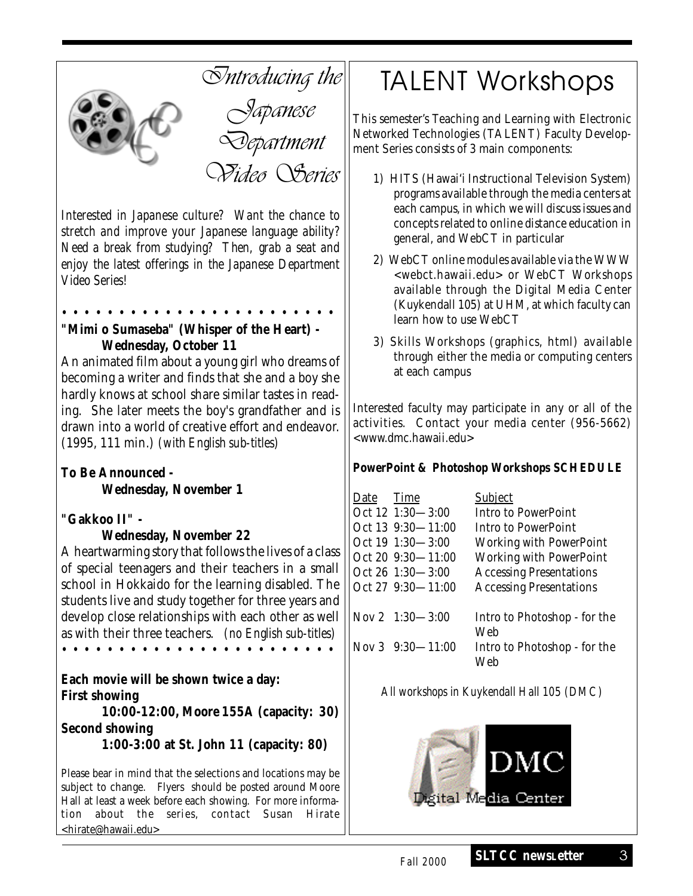

*Interested in Japanese culture? Want the chance to stretch and improve your Japanese language ability? Need a break from studying? Then, grab a seat and enjoy the latest offerings in the Japanese Department Video Series!*

• • • • • • • • • • • • • • • • • • • • • • • •

### **"Mimi o Sumaseba" (Whisper of the Heart) - Wednesday, October 11**

An animated film about a young girl who dreams of becoming a writer and finds that she and a boy she hardly knows at school share similar tastes in reading. She later meets the boy's grandfather and is drawn into a world of creative effort and endeavor. (1995, 111 min.) *(with English sub-titles)*

**To Be Announced - Wednesday, November 1**

### **"Gakkoo II" -**

### **Wednesday, November 22**

A heartwarming story that follows the lives of a class of special teenagers and their teachers in a small school in Hokkaido for the learning disabled. The students live and study together for three years and develop close relationships with each other as well as with their three teachers. *(no English sub-titles)* • • • • • • • • • • • • • • • • • • • • • • • •

**Each movie will be shown twice a day: First showing**

**10:00-12:00, Moore 155A (capacity: 30) Second showing**

**1:00-3:00 at St. John 11 (capacity: 80)**

Please bear in mind that the selections and locations may be subject to change. Flyers should be posted around Moore Hall at least a week before each showing. For more information about the series, contact Susan Hirate <hirate@hawaii.edu>

# TALENT Workshops

This semester's Teaching and Learning with Electronic Networked Technologies (TALENT) Faculty Development Series consists of 3 main components:

- 1) HITS (Hawai'i Instructional Television System) programs available through the media centers at each campus, in which we will discuss issues and concepts related to online distance education in general, and WebCT in particular
- 2) WebCT online modules available via the WWW <webct.hawaii.edu> or WebCT Workshops available through the Digital Media Center (Kuykendall 105) at UHM, at which faculty can learn how to use WebCT
- 3) Skills Workshops (graphics, html) available through either the media or computing centers at each campus

Interested faculty may participate in any or all of the activities. Contact your media center (956-5662) <www.dmc.hawaii.edu>

### **PowerPoint & Photoshop Workshops SCHEDULE**

| Date | Time                 | <b>Subject</b>                      |
|------|----------------------|-------------------------------------|
|      | Oct 12 1:30-3:00     | Intro to PowerPoint                 |
|      | Oct 13 9:30—11:00    | Intro to PowerPoint                 |
|      | Oct 19 1:30—3:00     | <b>Working with PowerPoint</b>      |
|      | Oct 20 9:30-11:00    | <b>Working with PowerPoint</b>      |
|      | Oct 26 1:30—3:00     | <b>Accessing Presentations</b>      |
|      | Oct 27 9:30—11:00    | <b>Accessing Presentations</b>      |
|      | Nov 2 1:30—3:00      | Intro to Photoshop - for the<br>Web |
|      | Nov 3 $9:30 - 11:00$ | Intro to Photoshop - for the<br>Web |

*All workshops in Kuykendall Hall 105 (DMC)*

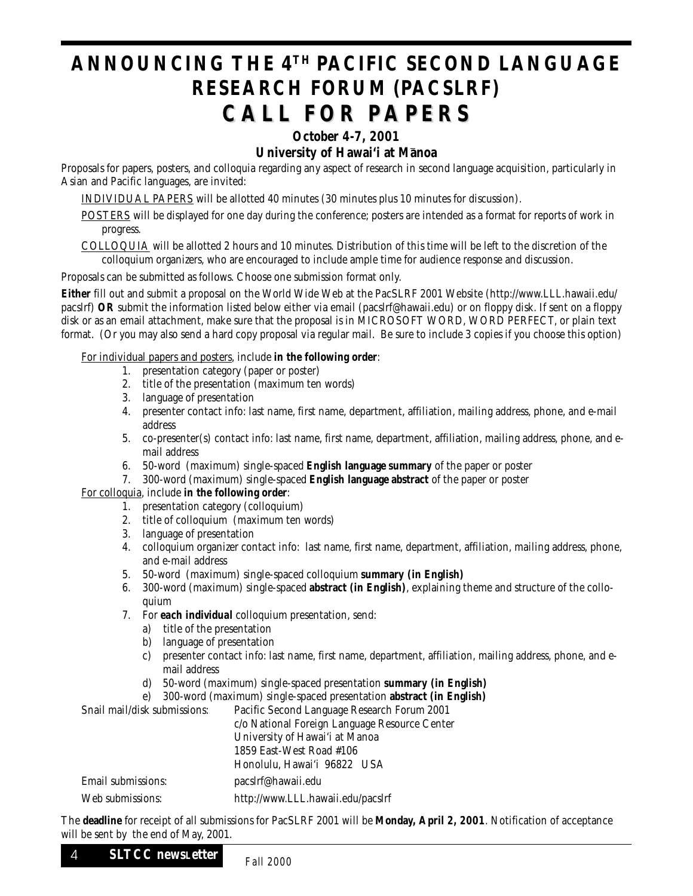### **ANNOUNCING THE 4TH PACIFIC SECOND LANGUAGE RESEARCH FORUM (PACSLRF) CALL FOR PAPERS CALL FOR PAPERS**

### **October 4-7, 2001**

### **University of Hawai'i at Manoa**

Proposals for papers, posters, and colloquia regarding any aspect of research in second language acquisition, particularly in Asian and Pacific languages, are invited:

INDIVIDUAL PAPERS will be allotted 40 minutes (30 minutes plus 10 minutes for discussion).

- POSTERS will be displayed for one day during the conference; posters are intended as a format for reports of work in progress.
- COLLOQUIA will be allotted 2 hours and 10 minutes. Distribution of this time will be left to the discretion of the colloquium organizers, who are encouraged to include ample time for audience response and discussion.

#### Proposals can be submitted as follows. Choose one submission format only.

**Either** fill out and submit a proposal on the World Wide Web at the PacSLRF 2001 Website (http://www.LLL.hawaii.edu/ pacslrf) **OR** submit the information listed below either via email (pacslrf@hawaii.edu) or on floppy disk. If sent on a floppy disk or as an email attachment, make sure that the proposal is in MICROSOFT WORD, WORD PERFECT, or plain text format. (Or you may also send a hard copy proposal via regular mail. Be sure to include 3 copies if you choose this option)

#### For individual papers and posters, include **in the following order**:

- 1. presentation category (paper or poster)
- 2. title of the presentation (maximum ten words)
- 3. language of presentation
- 4. presenter contact info: last name, first name, department, affiliation, mailing address, phone, and e-mail address
- 5. co-presenter(s) contact info: last name, first name, department, affiliation, mailing address, phone, and email address
- 6. 50-word (maximum) single-spaced **English language summary** of the paper or poster
- 7. 300-word (maximum) single-spaced **English language abstract** of the paper or poster

### For colloquia, include **in the following order**:

- 1. presentation category (colloquium)
- 2. title of colloquium (maximum ten words)
- 3. language of presentation
- 4. colloquium organizer contact info: last name, first name, department, affiliation, mailing address, phone, and e-mail address
- 5. 50-word (maximum) single-spaced colloquium **summary (in English)**
- 6. 300-word (maximum) single-spaced **abstract (in English)**, explaining theme and structure of the colloquium
- 7. For *each individual* colloquium presentation, send:
	- a) title of the presentation
	- b) language of presentation
	- c) presenter contact info: last name, first name, department, affiliation, mailing address, phone, and email address
	- d) 50-word (maximum) single-spaced presentation **summary (in English)**
	- e) 300-word (maximum) single-spaced presentation **abstract (in English)**

Snail mail/disk submissions: Pacific Second Language Research Forum 2001 c/o National Foreign Language Resource Center University of Hawai'i at Manoa 1859 East-West Road #106 Honolulu, Hawai'i 96822 USA Email submissions: pacslrf@hawaii.edu Web submissions: http://www.LLL.hawaii.edu/pacslrf

The **deadline** for receipt of all submissions for PacSLRF 2001 will be **Monday, April 2, 2001**. Notification of acceptance will be sent by the end of May, 2001.

### PB **SLTCC newsLetter** *Fall 2000* <sup>4</sup>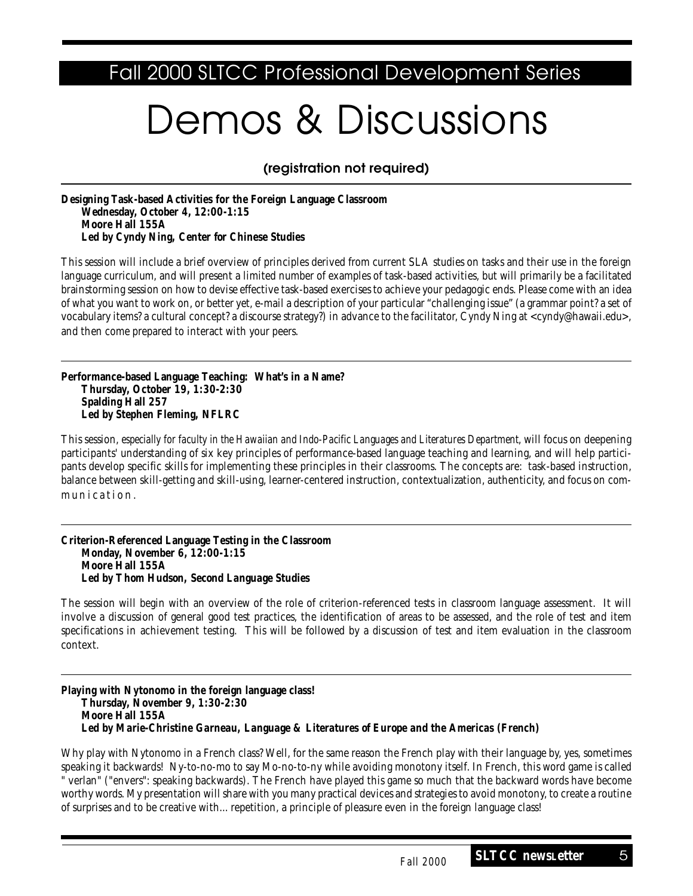### Fall 2000 SLTCC Professional Development Series

# Demos & Discussions

*(registration not required)*

**Designing Task-based Activities for the Foreign Language Classroom Wednesday, October 4, 12:00-1:15 Moore Hall 155A** *Led by Cyndy Ning, Center for Chinese Studies*

This session will include a brief overview of principles derived from current SLA studies on tasks and their use in the foreign language curriculum, and will present a limited number of examples of task-based activities, but will primarily be a facilitated brainstorming session on how to devise effective task-based exercises to achieve your pedagogic ends. Please come with an idea of what you want to work on, or better yet, e-mail a description of your particular "challenging issue" (a grammar point? a set of vocabulary items? a cultural concept? a discourse strategy?) in advance to the facilitator, Cyndy Ning at <cyndy@hawaii.edu>, and then come prepared to interact with your peers.

**Performance-based Language Teaching: What's in a Name? Thursday, October 19, 1:30-2:30 Spalding Hall 257** *Led by Stephen Fleming, NFLRC*

This session, *especially for faculty in the Hawaiian and Indo-Pacific Languages and Literatures Department*, will focus on deepening participants' understanding of six key principles of performance-based language teaching and learning, and will help participants develop specific skills for implementing these principles in their classrooms. The concepts are: task-based instruction, balance between skill-getting and skill-using, learner-centered instruction, contextualization, authenticity, and focus on communication.

**Criterion-Referenced Language Testing in the Classroom Monday, November 6, 12:00-1:15 Moore Hall 155A** *Led by Thom Hudson, Second Language Studies*

The session will begin with an overview of the role of criterion-referenced tests in classroom language assessment. It will involve a discussion of general good test practices, the identification of areas to be assessed, and the role of test and item specifications in achievement testing. This will be followed by a discussion of test and item evaluation in the classroom context.

**Playing with Nytonomo in the foreign language class! Thursday, November 9, 1:30-2:30 Moore Hall 155A** *Led by Marie-Christine Garneau, Language & Literatures of Europe and the Americas (French)*

Why play with Nytonomo in a French class? Well, for the same reason the French play with their language by, yes, sometimes speaking it backwards! Ny-to-no-mo to say Mo-no-to-ny while avoiding monotony itself. In French, this word game is called " verlan" ("envers": speaking backwards). The French have played this game so much that the backward words have become worthy words. My presentation will share with you many practical devices and strategies to avoid monotony, to create a routine of surprises and to be creative with... repetition, a principle of pleasure even in the foreign language class!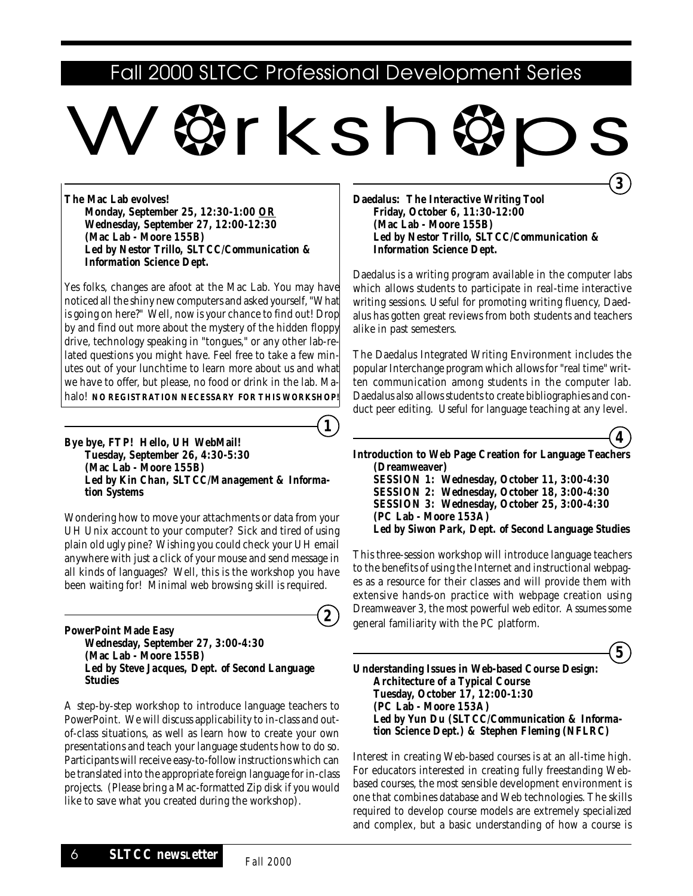### Fall 2000 SLTCC Professional Development Series

# \*rksh→

**The Mac Lab evolves! Monday, September 25, 12:30-1:00 OR Wednesday, September 27, 12:00-12:30 (Mac Lab - Moore 155B)** *Led by Nestor Trillo, SLTCC/Communication & Information Science Dept.*

Yes folks, changes are afoot at the Mac Lab. You may have noticed all the shiny new computers and asked yourself, "What is going on here?" Well, now is your chance to find out! Drop by and find out more about the mystery of the hidden floppy drive, technology speaking in "tongues," or any other lab-related questions you might have. Feel free to take a few minutes out of your lunchtime to learn more about us and what we have to offer, but please, no food or drink in the lab. Mahalo! **NO REGISTRATION NECESSARY FOR THIS WORKSHOP!**

**Bye bye, FTP! Hello, UH WebMail! Tuesday, September 26, 4:30-5:30 (Mac Lab - Moore 155B)** *Led by Kin Chan, SLTCC/Management & Information Systems*

Wondering how to move your attachments or data from your UH Unix account to your computer? Sick and tired of using plain old ugly pine? Wishing you could check your UH email anywhere with just a click of your mouse and send message in all kinds of languages? Well, this is the workshop you have been waiting for! Minimal web browsing skill is required.

**PowerPoint Made Easy Wednesday, September 27, 3:00-4:30 (Mac Lab - Moore 155B)** *Led by Steve Jacques, Dept. of Second Language Studies*

A step-by-step workshop to introduce language teachers to PowerPoint. We will discuss applicability to in-class and outof-class situations, as well as learn how to create your own presentations and teach your language students how to do so. Participants will receive easy-to-follow instructions which can be translated into the appropriate foreign language for in-class projects. (Please bring a Mac-formatted Zip disk if you would like to save what you created during the workshop).

**Daedalus: The Interactive Writing Tool Friday, October 6, 11:30-12:00 (Mac Lab - Moore 155B)** *Led by Nestor Trillo, SLTCC/Communication & Information Science Dept.*

Daedalus is a writing program available in the computer labs which allows students to participate in real-time interactive writing sessions. Useful for promoting writing fluency, Daedalus has gotten great reviews from both students and teachers alike in past semesters.

The Daedalus Integrated Writing Environment includes the popular Interchange program which allows for "real time" written communication among students in the computer lab. Daedalus also allows students to create bibliographies and conduct peer editing. Useful for language teaching at any level.

**4**

**3**

**Introduction to Web Page Creation for Language Teachers (Dreamweaver) SESSION 1: Wednesday, October 11, 3:00-4:30 SESSION 2: Wednesday, October 18, 3:00-4:30 SESSION 3: Wednesday, October 25, 3:00-4:30 (PC Lab - Moore 153A)** *Led by Siwon Park, Dept. of Second Language Studies*

This three-session workshop will introduce language teachers to the benefits of using the Internet and instructional webpages as a resource for their classes and will provide them with extensive hands-on practice with webpage creation using Dreamweaver 3, the most powerful web editor. Assumes some general familiarity with the PC platform.



**Understanding Issues in Web-based Course Design: Architecture of a Typical Course Tuesday, October 17, 12:00-1:30 (PC Lab - Moore 153A)** *Led by Yun Du (SLTCC/Communication & Information Science Dept.) & Stephen Fleming (NFLRC)*

Interest in creating Web-based courses is at an all-time high. For educators interested in creating fully freestanding Webbased courses, the most sensible development environment is one that combines database and Web technologies. The skills required to develop course models are extremely specialized and complex, but a basic understanding of how a course is

**2**

**1**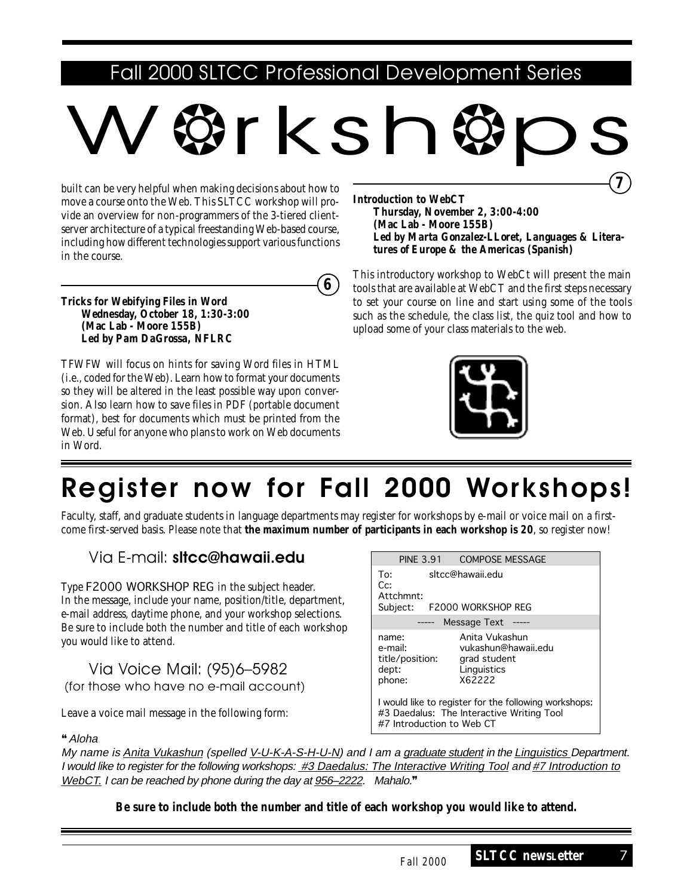### Fall 2000 SLTCC Professional Development Series

# W❂rksh❂ps

built can be very helpful when making decisions about how to move a course onto the Web. This SLTCC workshop will provide an overview for non-programmers of the 3-tiered clientserver architecture of a typical freestanding Web-based course, including how different technologies support various functions in the course.

**6**

**Tricks for Webifying Files in Word Wednesday, October 18, 1:30-3:00 (Mac Lab - Moore 155B)** *Led by Pam DaGrossa, NFLRC*

TFWFW will focus on hints for saving Word files in HTML (i.e., coded for the Web). Learn how to format your documents so they will be altered in the least possible way upon conversion. Also learn how to save files in PDF (portable document format), best for documents which must be printed from the Web. Useful for anyone who plans to work on Web documents in Word.

**Introduction to WebCT Thursday, November 2, 3:00-4:00 (Mac Lab - Moore 155B)** *Led by Marta Gonzalez-LLoret, Languages & Literatures of Europe & the Americas (Spanish)* **7**

This introductory workshop to WebCt will present the main tools that are available at WebCT and the first steps necessary to set your course on line and start using some of the tools such as the schedule, the class list, the quiz tool and how to upload some of your class materials to the web.



## *Register now for Fall 2000 Workshops!*

Faculty, staff, and graduate students in language departments may register for workshops by e-mail or voice mail on a firstcome first-served basis. Please note that **the maximum number of participants in each workshop is 20**, so register now!

### Via E-mail: *sltcc@hawaii.edu*

Type F2000 WORKSHOP REG in the subject header. In the message, include your name, position/title, department, e-mail address, daytime phone, and your workshop selections. Be sure to include both the number and title of each workshop you would like to attend.

Via Voice Mail: (95)6–5982 (for those who have no e-mail account)

Leave a voice mail message in the following form:

### ❝Aloha

 PINE 3.91 COMPOSE MESSAGE To: sltcc@hawaii.edu Cc: Attchmnt: Subject: F2000 WORKSHOP REG Message Text ----name: Anita Vukashun e-mail: vukashun@hawaii.edu title/position: grad student dept: Linguistics phone: X62222 I would like to register for the following workshops: #3 Daedalus: The Interactive Writing Tool #7 Introduction to Web CT

My name is Anita Vukashun (spelled V-U-K-A-S-H-U-N) and I am a graduate student in the Linguistics Department. I would like to register for the following workshops: #3 Daedalus: The Interactive Writing Tool and #7 Introduction to WebCT. I can be reached by phone during the day at 956–2222. Mahalo.<sup>99</sup>

**Be sure to include both the number and title of each workshop you would like to attend.**

**SLTCC newsLetter** 7 *Fall 2000*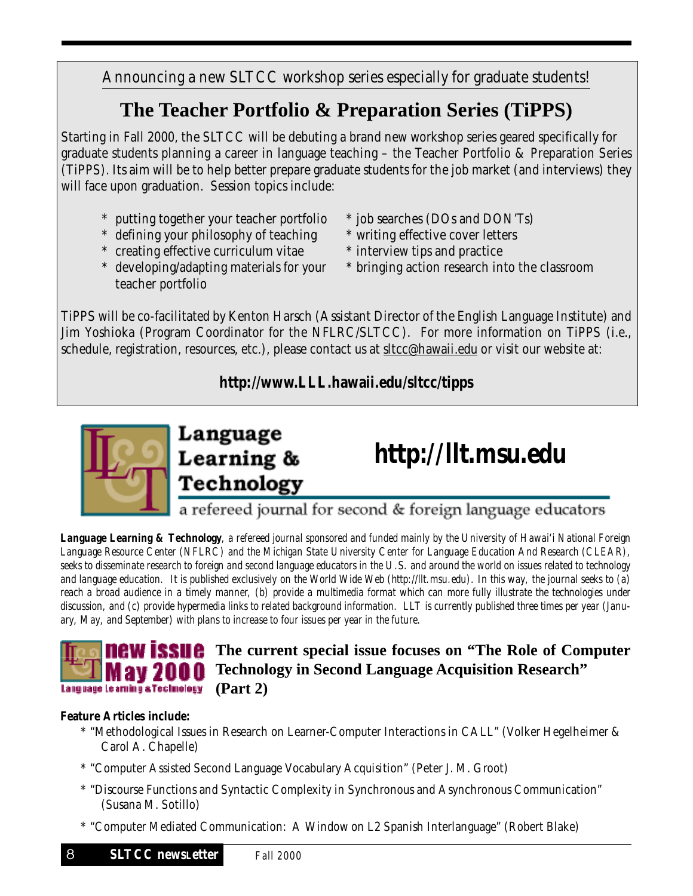Announcing a new SLTCC workshop series especially for graduate students!

## **The Teacher Portfolio & Preparation Series (TiPPS)**

Starting in Fall 2000, the SLTCC will be debuting a brand new workshop series geared specifically for graduate students planning a career in language teaching – the Teacher Portfolio & Preparation Series (TiPPS). Its aim will be to help better prepare graduate students for the job market (and interviews) they will face upon graduation. Session topics include:

- \* putting together your teacher portfolio \* job searches (DOs and DON'Ts)
- \* defining your philosophy of teaching \* writing effective cover letters
- \* creating effective curriculum vitae \* interview tips and practice
- teacher portfolio
- 
- 
- 
- \* developing/adapting materials for your \* bringing action research into the classroom

TiPPS will be co-facilitated by Kenton Harsch (Assistant Director of the English Language Institute) and Jim Yoshioka (Program Coordinator for the NFLRC/SLTCC). For more information on TiPPS (i.e., schedule, registration, resources, etc.), please contact us at sltcc@hawaii.edu or visit our website at:

### **http://www.LLL.hawaii.edu/sltcc/tipps**





*Language Learning & Technology, a refereed journal sponsored and funded mainly by the University of Hawai'i National Foreign Language Resource Center (NFLRC) and the Michigan State University Center for Language Education And Research (CLEAR), seeks to disseminate research to foreign and second language educators in the U.S. and around the world on issues related to technology and language education. It is published exclusively on the World Wide Web (http://llt.msu.edu). In this way, the journal seeks to (a) reach a broad audience in a timely manner, (b) provide a multimedia format which can more fully illustrate the technologies under discussion, and (c) provide hypermedia links to related background information. LLT is currently published three times per year (January, May, and September) with plans to increase to four issues per year in the future.*



### **The Current special issue focuses on "The Role of Computer" Technology in Second Language Acquisition Research" (Part 2)**

### **Feature Articles include:**

- \* "Methodological Issues in Research on Learner-Computer Interactions in CALL" (Volker Hegelheimer & Carol A. Chapelle)
- \* "Computer Assisted Second Language Vocabulary Acquisition" (Peter J. M. Groot)
- \* "Discourse Functions and Syntactic Complexity in Synchronous and Asynchronous Communication" (Susana M. Sotillo)
- \* "Computer Mediated Communication: A Window on L2 Spanish Interlanguage" (Robert Blake)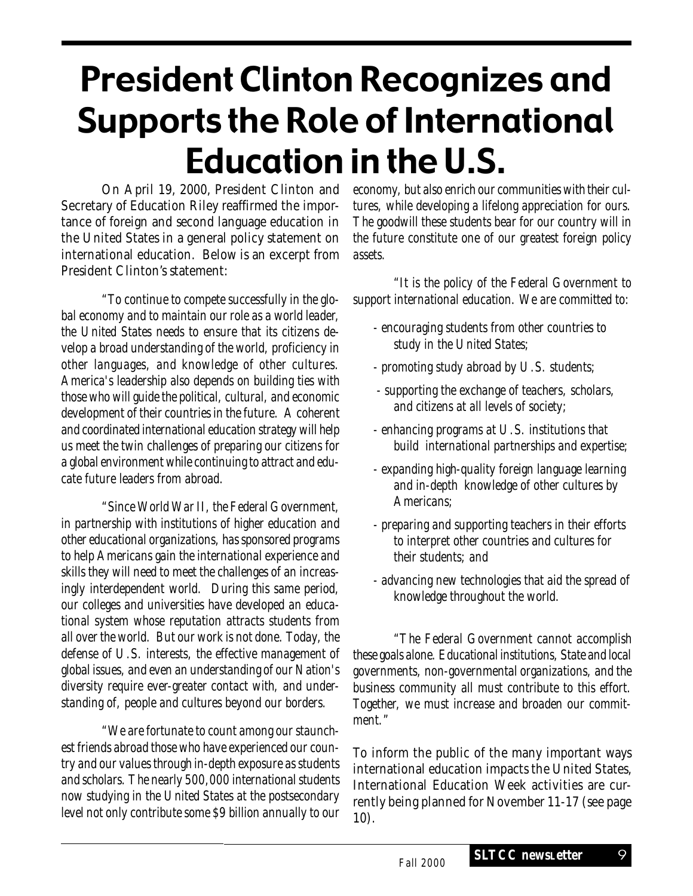# President Clinton Recognizes and Supports the Role of International Education in the U.S.

On April 19, 2000, President Clinton and Secretary of Education Riley reaffirmed the importance of foreign and second language education in the United States in a general policy statement on international education. Below is an excerpt from President Clinton's statement:

*"To continue to compete successfully in the global economy and to maintain our role as a world leader, the United States needs to ensure that its citizens develop a broad understanding of the world, proficiency in other languages, and knowledge of other cultures. America's leadership also depends on building ties with those who will guide the political, cultural, and economic development of their countries in the future. A coherent and coordinated international education strategy will help us meet the twin challenges of preparing our citizens for a global environment while continuing to attract and educate future leaders from abroad.*

*"Since World War II, the Federal Government, in partnership with institutions of higher education and other educational organizations, has sponsored programs to help Americans gain the international experience and skills they will need to meet the challenges of an increasingly interdependent world. During this same period, our colleges and universities have developed an educational system whose reputation attracts students from all over the world. But our work is not done. Today, the defense of U.S. interests, the effective management of global issues, and even an understanding of our Nation's diversity require ever-greater contact with, and understanding of, people and cultures beyond our borders.*

*"We are fortunate to count among our staunchest friends abroad those who have experienced our country and our values through in-depth exposure as students and scholars. The nearly 500,000 international students now studying in the United States at the postsecondary level not only contribute some \$9 billion annually to our* *economy, but also enrich our communities with their cultures, while developing a lifelong appreciation for ours. The goodwill these students bear for our country will in the future constitute one of our greatest foreign policy assets.*

*"It is the policy of the Federal Government to support international education. We are committed to:*

- *encouraging students from other countries to study in the United States;*
- *promoting study abroad by U.S. students;*
- *supporting the exchange of teachers, scholars, and citizens at all levels of society;*
- *enhancing programs at U.S. institutions that build international partnerships and expertise;*
- *expanding high-quality foreign language learning and in-depth knowledge of other cultures by Americans;*
- *preparing and supporting teachers in their efforts to interpret other countries and cultures for their students; and*
- *advancing new technologies that aid the spread of knowledge throughout the world.*

*"The Federal Government cannot accomplish these goals alone. Educational institutions, State and local governments, non-governmental organizations, and the business community all must contribute to this effort. Together, we must increase and broaden our commitment."*

To inform the public of the many important ways international education impacts the United States, International Education Week activities are currently being planned for November 11-17 (see page 10).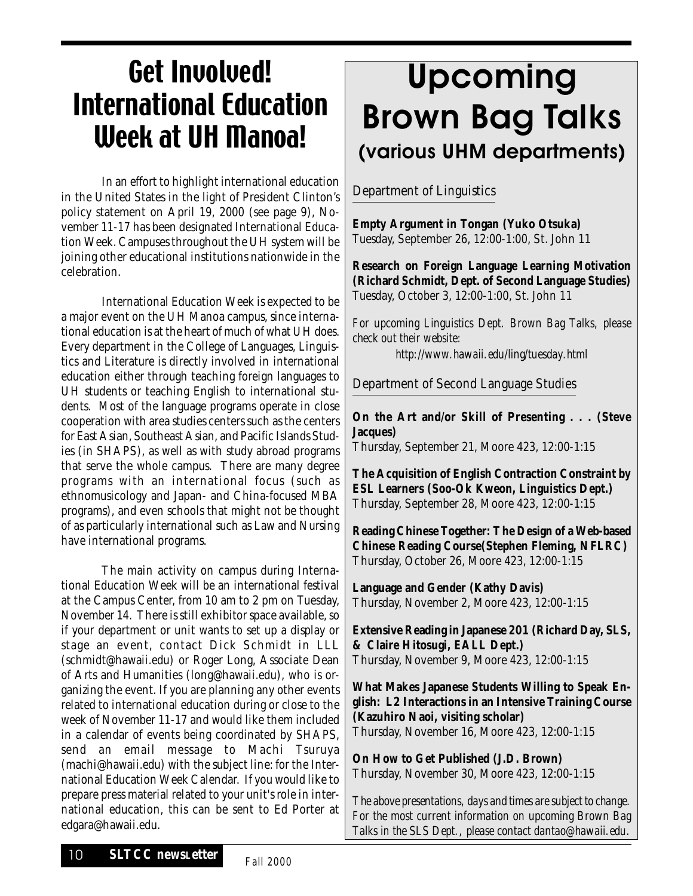# Get Involved! International Education Week at UH Manoa!

In an effort to highlight international education in the United States in the light of President Clinton's policy statement on April 19, 2000 (see page 9), November 11-17 has been designated International Education Week. Campuses throughout the UH system will be joining other educational institutions nationwide in the celebration.

International Education Week is expected to be a major event on the UH Manoa campus, since international education is at the heart of much of what UH does. Every department in the College of Languages, Linguistics and Literature is directly involved in international education either through teaching foreign languages to UH students or teaching English to international students. Most of the language programs operate in close cooperation with area studies centers such as the centers for East Asian, Southeast Asian, and Pacific Islands Studies (in SHAPS), as well as with study abroad programs that serve the whole campus. There are many degree programs with an international focus (such as ethnomusicology and Japan- and China-focused MBA programs), and even schools that might not be thought of as particularly international such as Law and Nursing have international programs.

The main activity on campus during International Education Week will be an international festival at the Campus Center, from 10 am to 2 pm on Tuesday, November 14. There is still exhibitor space available, so if your department or unit wants to set up a display or stage an event, contact Dick Schmidt in LLL (schmidt@hawaii.edu) or Roger Long, Associate Dean of Arts and Humanities (long@hawaii.edu), who is organizing the event. If you are planning any other events related to international education during or close to the week of November 11-17 and would like them included in a calendar of events being coordinated by SHAPS, send an email message to Machi Tsuruya (machi@hawaii.edu) with the subject line: for the International Education Week Calendar. If you would like to prepare press material related to your unit's role in international education, this can be sent to Ed Porter at edgara@hawaii.edu.

# *Upcoming Brown Bag Talks (various UHM departments)*

Department of Linguistics

**Empty Argument in Tongan (Yuko Otsuka)** Tuesday, September 26, 12:00-1:00, St. John 11

**Research on Foreign Language Learning Motivation (Richard Schmidt, Dept. of Second Language Studies)** Tuesday, October 3, 12:00-1:00, St. John 11

*For upcoming Linguistics Dept. Brown Bag Talks, please check out their website:*

*http://www.hawaii.edu/ling/tuesday.html*

Department of Second Language Studies

**On the Art and/or Skill of Presenting . . . (Steve Jacques)**

Thursday, September 21, Moore 423, 12:00-1:15

**The Acquisition of English Contraction Constraint by ESL Learners (Soo-Ok Kweon, Linguistics Dept.)** Thursday, September 28, Moore 423, 12:00-1:15

**Reading Chinese Together: The Design of a Web-based Chinese Reading Course(Stephen Fleming, NFLRC)** Thursday, October 26, Moore 423, 12:00-1:15

**Language and Gender (Kathy Davis)** Thursday, November 2, Moore 423, 12:00-1:15

**Extensive Reading in Japanese 201 (Richard Day, SLS, & Claire Hitosugi, EALL Dept.)** Thursday, November 9, Moore 423, 12:00-1:15

**What Makes Japanese Students Willing to Speak English: L2 Interactions in an Intensive Training Course (Kazuhiro Naoi, visiting scholar)** Thursday, November 16, Moore 423, 12:00-1:15

**On How to Get Published (J.D. Brown)** Thursday, November 30, Moore 423, 12:00-1:15

*The above presentations, days and times are subject to change. For the most current information on upcoming Brown Bag Talks in the SLS Dept., please contact dantao@hawaii.edu.*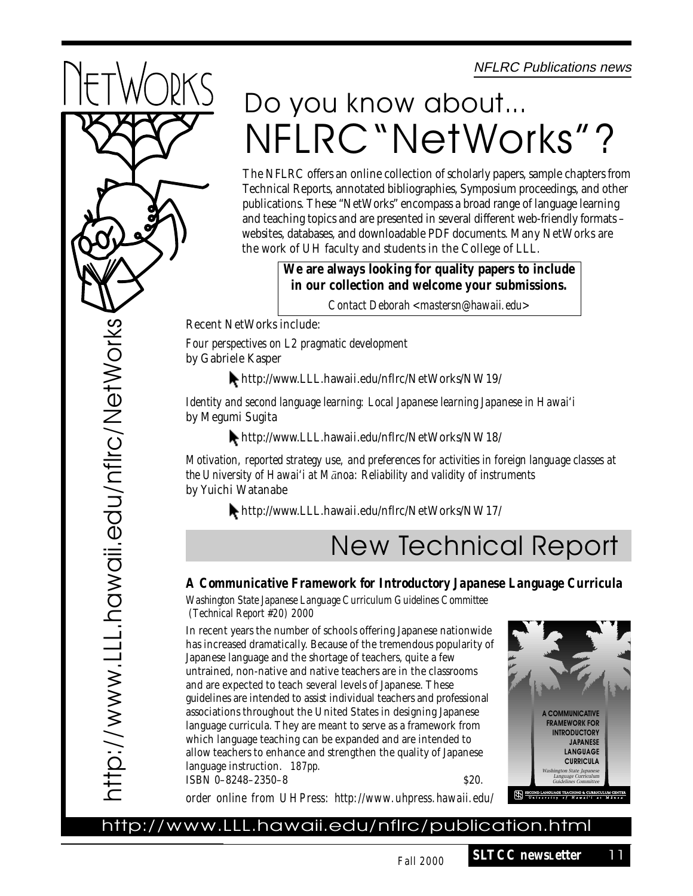NFLRC Publications news



# Do you know about... NFLRC"NetWorks"?

The NFLRC offers an online collection of scholarly papers, sample chapters from Technical Reports, annotated bibliographies, Symposium proceedings, and other publications. These "NetWorks" encompass a broad range of language learning and teaching topics and are presented in several different web-friendly formats – websites, databases, and downloadable PDF documents. Many NetWorks are the work of UH faculty and students in the College of LLL.

> **We are always looking for quality papers to include in our collection and welcome your submissions.** *Contact Deborah <mastersn@hawaii.edu>*

Recent NetWorks include:

*Four perspectives on L2 pragmatic development* by Gabriele Kasper

http://www.LLL.hawaii.edu/nflrc/NetWorks/NW19/

*Identity and second language learning: Local Japanese learning Japanese in Hawai'i* by Megumi Sugita

http://www.LLL.hawaii.edu/nflrc/NetWorks/NW18/

*Motivation, reported strategy use, and preferences for activities in foreign language classes at the University of Hawai'i at MÅnoa: Reliability and validity of instruments* by Yuichi Watanabe

http://www.LLL.hawaii.edu/nflrc/NetWorks/NW17/

## New Technical Report

### *A Communicative Framework for Introductory Japanese Language Curricula*

*Washington State Japanese Language Curriculum Guidelines Committee (Technical Report #20) 2000*

In recent years the number of schools offering Japanese nationwide has increased dramatically. Because of the tremendous popularity of Japanese language and the shortage of teachers, quite a few untrained, non-native and native teachers are in the classrooms and are expected to teach several levels of Japanese. These guidelines are intended to assist individual teachers and professional associations throughout the United States in designing Japanese language curricula. They are meant to serve as a framework from which language teaching can be expanded and are intended to allow teachers to enhance and strengthen the quality of Japanese language instruction. *187pp.*  $ISBN 0-8248-2350-8$   $S20.$ 



*order online from UHPress: http://www.uhpress.hawaii.edu/*

### http://www.LLL.hawaii.edu/nflrc/publication.html